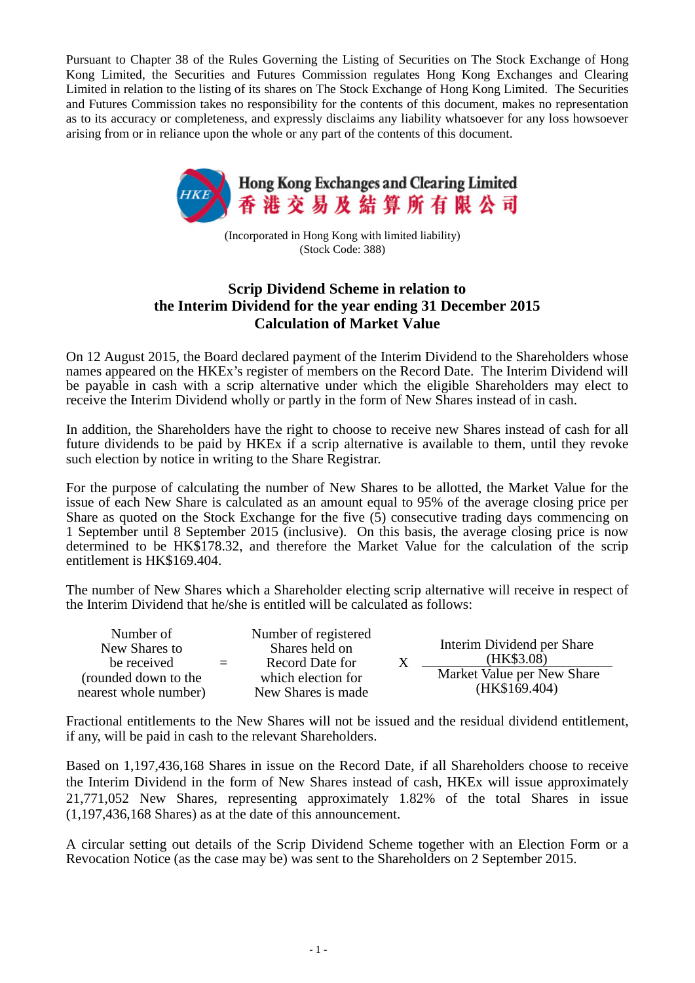Pursuant to Chapter 38 of the Rules Governing the Listing of Securities on The Stock Exchange of Hong Kong Limited, the Securities and Futures Commission regulates Hong Kong Exchanges and Clearing Limited in relation to the listing of its shares on The Stock Exchange of Hong Kong Limited. The Securities and Futures Commission takes no responsibility for the contents of this document, makes no representation as to its accuracy or completeness, and expressly disclaims any liability whatsoever for any loss howsoever arising from or in reliance upon the whole or any part of the contents of this document.



(Incorporated in Hong Kong with limited liability) (Stock Code: 388)

## **Scrip Dividend Scheme in relation to the Interim Dividend for the year ending 31 December 2015 Calculation of Market Value**

On 12 August 2015, the Board declared payment of the Interim Dividend to the Shareholders whose names appeared on the HKEx's register of members on the Record Date. The Interim Dividend will be payable in cash with a scrip alternative under which the eligible Shareholders may elect to receive the Interim Dividend wholly or partly in the form of New Shares instead of in cash.

In addition, the Shareholders have the right to choose to receive new Shares instead of cash for all future dividends to be paid by HKEx if a scrip alternative is available to them, until they revoke such election by notice in writing to the Share Registrar.

For the purpose of calculating the number of New Shares to be allotted, the Market Value for the issue of each New Share is calculated as an amount equal to 95% of the average closing price per Share as quoted on the Stock Exchange for the five  $(\bar{5})$  consecutive trading days commencing on 1 September until 8 September 2015 (inclusive). On this basis, the average closing price is now determined to be HK\$178.32, and therefore the Market Value for the calculation of the scrip entitlement is HK\$169.404.

The number of New Shares which a Shareholder electing scrip alternative will receive in respect of the Interim Dividend that he/she is entitled will be calculated as follows:

| Number of<br>New Shares to<br>be received     | $=$ | Number of registered<br>Shares held on<br>Record Date for<br>which election for<br>New Shares is made | Interim Dividend per Share<br>(HK\$3.08)    |
|-----------------------------------------------|-----|-------------------------------------------------------------------------------------------------------|---------------------------------------------|
| (rounded down to the<br>nearest whole number) |     |                                                                                                       | Market Value per New Share<br>(HK\$169.404) |

Fractional entitlements to the New Shares will not be issued and the residual dividend entitlement, if any, will be paid in cash to the relevant Shareholders.

Based on 1,197,436,168 Shares in issue on the Record Date, if all Shareholders choose to receive the Interim Dividend in the form of New Shares instead of cash, HKEx will issue approximately 21,771,052 New Shares, representing approximately 1.82% of the total Shares in issue (1,197,436,168 Shares) as at the date of this announcement.

A circular setting out details of the Scrip Dividend Scheme together with an Election Form or a Revocation Notice (as the case may be) was sent to the Shareholders on 2 September 2015.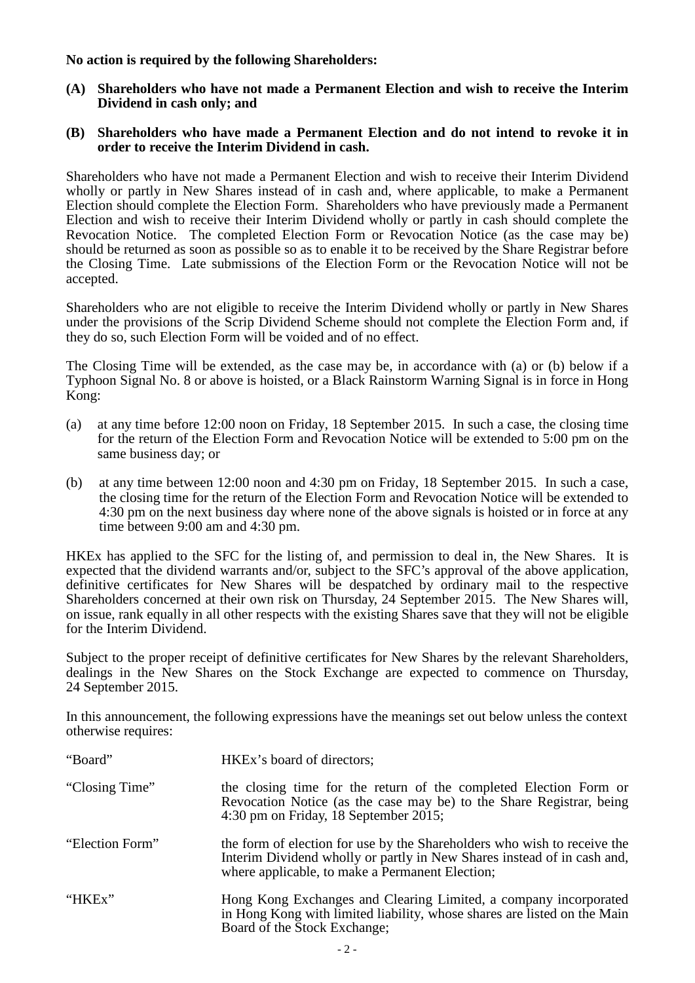**No action is required by the following Shareholders:**

**(A) Shareholders who have not made a Permanent Election and wish to receive the Interim Dividend in cash only; and**

## **(B) Shareholders who have made a Permanent Election and do not intend to revoke it in order to receive the Interim Dividend in cash.**

Shareholders who have not made a Permanent Election and wish to receive their Interim Dividend wholly or partly in New Shares instead of in cash and, where applicable, to make a Permanent Election should complete the Election Form. Shareholders who have previously made a Permanent Election and wish to receive their Interim Dividend wholly or partly in cash should complete the Revocation Notice. The completed Election Form or Revocation Notice (as the case may be) should be returned as soon as possible so as to enable it to be received by the Share Registrar before the Closing Time. Late submissions of the Election Form or the Revocation Notice will not be accepted.

Shareholders who are not eligible to receive the Interim Dividend wholly or partly in New Shares under the provisions of the Scrip Dividend Scheme should not complete the Election Form and, if they do so, such Election Form will be voided and of no effect.

The Closing Time will be extended, as the case may be, in accordance with (a) or (b) below if a Typhoon Signal No. 8 or above is hoisted, or a Black Rainstorm Warning Signal is in force in Hong Kong:

- (a) at any time before 12:00 noon on Friday, 18 September 2015. In such a case, the closing time for the return of the Election Form and Revocation Notice will be extended to 5:00 pm on the same business day; or
- (b) at any time between 12:00 noon and 4:30 pm on Friday, 18 September 2015. In such a case, the closing time for the return of the Election Form and Revocation Notice will be extended to 4:30 pm on the next business day where none of the above signals is hoisted or in force at any time between 9:00 am and 4:30 pm.

HKEx has applied to the SFC for the listing of, and permission to deal in, the New Shares. It is expected that the dividend warrants and/or, subject to the SFC's approval of the above application, definitive certificates for New Shares will be despatched by ordinary mail to the respective Shareholders concerned at their own risk on Thursday, 24 September 2015. The New Shares will, on issue, rank equally in all other respects with the existing Shares save that they will not be eligible for the Interim Dividend.

Subject to the proper receipt of definitive certificates for New Shares by the relevant Shareholders, dealings in the New Shares on the Stock Exchange are expected to commence on Thursday, 24 September 2015.

In this announcement, the following expressions have the meanings set out below unless the context otherwise requires:

| "Board"         | HKEx's board of directors;                                                                                                                                                                             |
|-----------------|--------------------------------------------------------------------------------------------------------------------------------------------------------------------------------------------------------|
| "Closing Time"  | the closing time for the return of the completed Election Form or<br>Revocation Notice (as the case may be) to the Share Registrar, being<br>$4:30$ pm on Friday, 18 September 2015;                   |
| "Election Form" | the form of election for use by the Shareholders who wish to receive the<br>Interim Dividend wholly or partly in New Shares instead of in cash and,<br>where applicable, to make a Permanent Election; |
| "HKEx"          | Hong Kong Exchanges and Clearing Limited, a company incorporated<br>in Hong Kong with limited liability, whose shares are listed on the Main<br>Board of the Stock Exchange;                           |